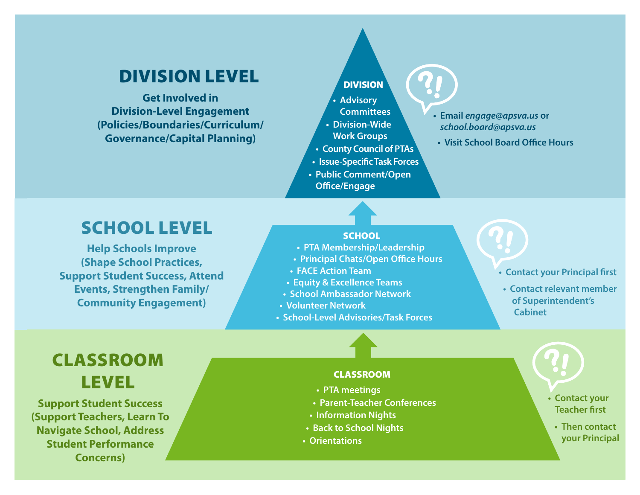### DIVISION LEVEL

**Get Involved in Division-Level Engagement (Policies/Boundaries/Curriculum/ Governance/Capital Planning)** 

### DIVISION

- **• Advisory Committees**
- **• Division-Wide**
- **Work Groups**
- **• County Council of PTAs**
- **• Issue-Specific Task Forces**
- **• Public Comment/Open Office/Engage**
- **• Email** *engage@apsva.us* **or**  *school.board@apsva.us*

**!**

**• Visit School Board Office Hours**

**!**

## SCHOOL LEVEL

**Help Schools Improve (Shape School Practices, Support Student Success, Attend Events, Strengthen Family/ Community Engagement)** 

#### SCHOOL

- **• PTA Membership/Leadership**
- **• Principal Chats/Open Office Hours**
- **• FACE Action Team**
- **• Equity & Excellence Teams**
- **• School Ambassador Network**
- **• Volunteer Network**
- **• School-Level Advisories/Task Forces**

#### **• Contact your Principal first**

**• Contact relevant member of Superintendent's Cabinet**

**!**

# CLASSROOM LEVEL

**Support Student Success (Support Teachers, Learn To Navigate School, Address Student Performance Concerns)**

#### CLASSROOM

- **• PTA meetings**
- **• Parent-Teacher Conferences**
- **• Information Nights**
- **• Back to School Nights**
- **• Orientations**

**• Contact your Teacher first**

**• Then contact your Principal**